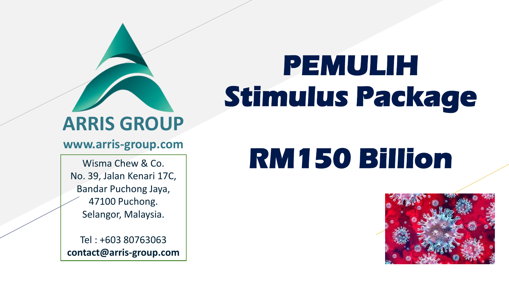# **ARRIS GROUP**

#### **www.arris-group.com**

Wisma Chew & Co. No. 39, Jalan Kenari 17C, Bandar Puchong Jaya, 47100 Puchong. Selangor, Malaysia.

Tel : +603 80763063 **contact@arris-group.com**

# **PEMULIH Stimulus Package**

# **RM150 Billion**

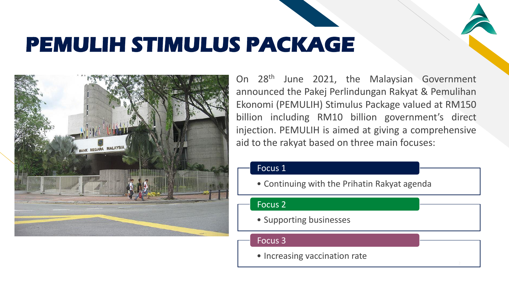### **PEMULIH STIMULUS PACKAGE**



On 28th June 2021, the Malaysian Government announced the Pakej Perlindungan Rakyat & Pemulihan Ekonomi (PEMULIH) Stimulus Package valued at RM150 billion including RM10 billion government's direct injection. PEMULIH is aimed at giving a comprehensive aid to the rakyat based on three main focuses:

FR

#### Focus 1

• Continuing with the Prihatin Rakyat agenda

#### Focus 2

• Supporting businesses

#### Focus 3

• Increasing vaccination rate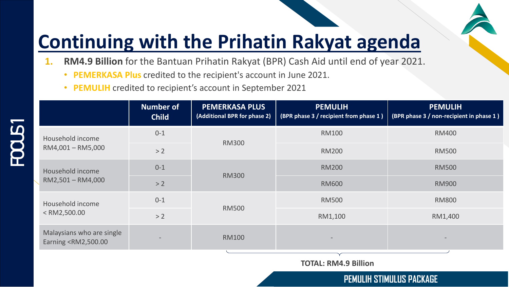- **1. RM4.9 Billion** for the Bantuan Prihatin Rakyat (BPR) Cash Aid until end of year 2021.
	- **PEMERKASA Plus** credited to the recipient's account in June 2021.
	- **PEMULIH** credited to recipient's account in September 2021

|                                                                                                                        | <b>Number of</b><br><b>Child</b> | <b>PEMERKASA PLUS</b><br>(Additional BPR for phase 2) | <b>PEMULIH</b><br>(BPR phase 3 / recipient from phase 1) | <b>PEMULIH</b><br>(BPR phase 3 / non-recipient in phase 1) |
|------------------------------------------------------------------------------------------------------------------------|----------------------------------|-------------------------------------------------------|----------------------------------------------------------|------------------------------------------------------------|
| Household income<br>RM4,001 - RM5,000                                                                                  | $0 - 1$                          | <b>RM300</b>                                          | <b>RM100</b>                                             | <b>RM400</b>                                               |
|                                                                                                                        | >2                               |                                                       | <b>RM200</b>                                             | <b>RM500</b>                                               |
| Household income<br>RM2,501 - RM4,000                                                                                  | $0 - 1$                          | <b>RM300</b>                                          | <b>RM200</b>                                             | <b>RM500</b>                                               |
|                                                                                                                        | >2                               |                                                       | <b>RM600</b>                                             | <b>RM900</b>                                               |
| Household income<br>$<$ RM2,500.00                                                                                     | $0 - 1$                          | <b>RM500</b>                                          | <b>RM500</b>                                             | <b>RM800</b>                                               |
|                                                                                                                        | >2                               |                                                       | RM1,100                                                  | RM1,400                                                    |
| Malaysians who are single<br>Earning <rm2,500.00< td=""><td></td><td><b>RM100</b></td><td></td><td></td></rm2,500.00<> |                                  | <b>RM100</b>                                          |                                                          |                                                            |
|                                                                                                                        |                                  |                                                       |                                                          |                                                            |

**TOTAL: RM4.9 Billion**

**PEMULIH STIMULUS PACKAGE**

FR

# **FOCUS1**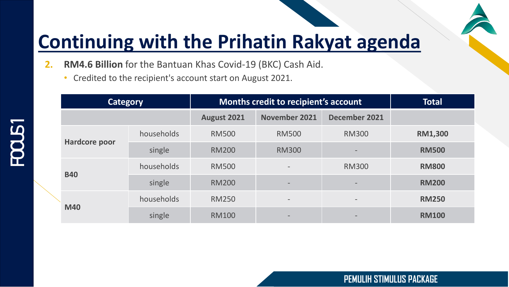- **2. RM4.6 Billion** for the Bantuan Khas Covid-19 (BKC) Cash Aid.
	- Credited to the recipient's account start on August 2021.

| <b>Category</b> |            | <b>Months credit to recipient's account</b> | <b>Total</b>             |                          |                |
|-----------------|------------|---------------------------------------------|--------------------------|--------------------------|----------------|
|                 |            | August 2021                                 | <b>November 2021</b>     | December 2021            |                |
| Hardcore poor   | households | <b>RM500</b>                                | <b>RM500</b>             | <b>RM300</b>             | <b>RM1,300</b> |
|                 | single     | <b>RM200</b>                                | <b>RM300</b>             |                          | <b>RM500</b>   |
| <b>B40</b>      | households | <b>RM500</b>                                | $\overline{\phantom{a}}$ | <b>RM300</b>             | <b>RM800</b>   |
|                 | single     | <b>RM200</b>                                | $\overline{\phantom{0}}$ | $\qquad \qquad$          | <b>RM200</b>   |
| <b>M40</b>      | households | <b>RM250</b>                                | $\overline{\phantom{a}}$ | $\overline{\phantom{a}}$ | <b>RM250</b>   |
|                 | single     | <b>RM100</b>                                | $\overline{\phantom{0}}$ |                          | <b>RM100</b>   |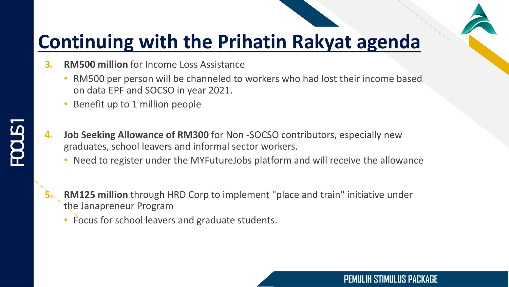

- **3. RM500 million** for Income Loss Assistance
	- RM500 per person will be channeled to workers who had lost their income based on data EPF and SOCSO in year 2021.
	- Benefit up to 1 million people
- **4. Job Seeking Allowance of RM300** for Non -SOCSO contributors, especially new graduates, school leavers and informal sector workers.
	- Need to register under the MYFutureJobs platform and will receive the allowance



- **5. RM125 million** through HRD Corp to implement "place and train" initiative under the Janapreneur Program
	- Focus for school leavers and graduate students.

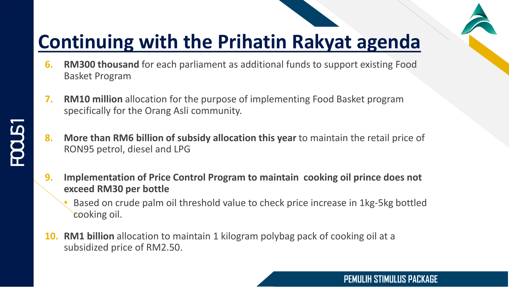- **6. RM300 thousand** for each parliament as additional funds to support existing Food Basket Program
- **7. RM10 million** allocation for the purpose of implementing Food Basket program specifically for the Orang Asli community.
- **8. More than RM6 billion of subsidy allocation this year** to maintain the retail price of RON95 petrol, diesel and LPG
- **9. Implementation of Price Control Program to maintain cooking oil prince does not exceed RM30 per bottle**
	- Based on crude palm oil threshold value to check price increase in 1kg-5kg bottled cooking oil.
- **10. RM1 billion** allocation to maintain 1 kilogram polybag pack of cooking oil at a subsidized price of RM2.50.

**FOOLS1**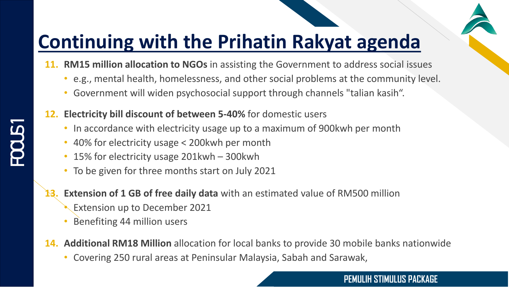- **11. RM15 million allocation to NGOs** in assisting the Government to address social issues
	- e.g., mental health, homelessness, and other social problems at the community level.
	- Government will widen psychosocial support through channels "talian kasih".
- **12. Electricity bill discount of between 5-40%** for domestic users
	- In accordance with electricity usage up to a maximum of 900kwh per month
	- 40% for electricity usage < 200kwh per month
	- 15% for electricity usage 201kwh 300kwh
	- To be given for three months start on July 2021
	- **Extension of 1 GB of free daily data** with an estimated value of RM500 million
		- **Extension up to December 2021**
		- Benefiting 44 million users
- **14. Additional RM18 Million** allocation for local banks to provide 30 mobile banks nationwide
	- Covering 250 rural areas at Peninsular Malaysia, Sabah and Sarawak,

#### **PEMULIH STIMULUS PACKAGE**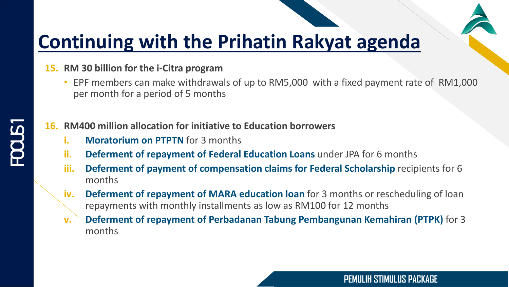#### **15. RM 30 billion for the i-Citra program**

• EPF members can make withdrawals of up to RM5,000 with a fixed payment rate of RM1,000 per month for a period of 5 months

#### **16. RM400 million allocation for initiative to Education borrowers**

- **i. Moratorium on PTPTN** for 3 months
- **ii. Deferment of repayment of Federal Education Loans** under JPA for 6 months
- **iii.** Deferment of payment of compensation claims for Federal Scholarship recipients for 6 months
- **iv. Deferment of repayment of MARA education loan** for 3 months or rescheduling of loan repayments with monthly installments as low as RM100 for 12 months
- **v. Deferment of repayment of Perbadanan Tabung Pembangunan Kemahiran (PTPK)** for 3 months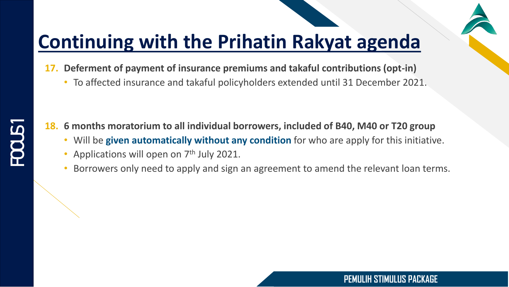- **17. Deferment of payment of insurance premiums and takaful contributions (opt-in)** 
	- To affected insurance and takaful policyholders extended until 31 December 2021.

**18. 6 months moratorium to all individual borrowers, included of B40, M40 or T20 group**

- Will be **given automatically without any condition** for who are apply for this initiative.
- Applications will open on  $7<sup>th</sup>$  July 2021.
- Borrowers only need to apply and sign an agreement to amend the relevant loan terms.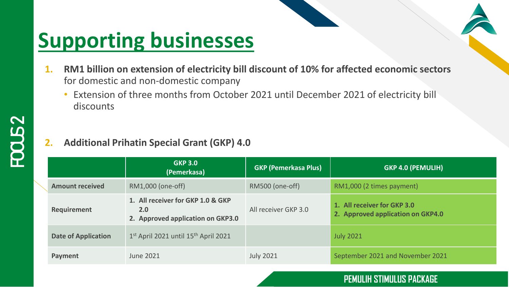- **1. RM1 billion on extension of electricity bill discount of 10% for affected economic sectors**  for domestic and non-domestic company
	- Extension of three months from October 2021 until December 2021 of electricity bill discounts

#### **2. Additional Prihatin Special Grant (GKP) 4.0**

|                            | <b>GKP 3.0</b><br>(Pemerkasa)                                                 | <b>GKP (Pemerkasa Plus)</b> | <b>GKP 4.0 (PEMULIH)</b>                                         |
|----------------------------|-------------------------------------------------------------------------------|-----------------------------|------------------------------------------------------------------|
| <b>Amount received</b>     | RM1,000 (one-off)                                                             | RM500 (one-off)             | RM1,000 (2 times payment)                                        |
| <b>Requirement</b>         | 1. All receiver for GKP 1.0 & GKP<br>2.0<br>2. Approved application on GKP3.0 | All receiver GKP 3.0        | 1. All receiver for GKP 3.0<br>2. Approved application on GKP4.0 |
| <b>Date of Application</b> | 1st April 2021 until 15th April 2021                                          |                             | <b>July 2021</b>                                                 |
| Payment                    | <b>June 2021</b>                                                              | <b>July 2021</b>            | September 2021 and November 2021                                 |

#### **PEMULIH STIMULUS PACKAGE**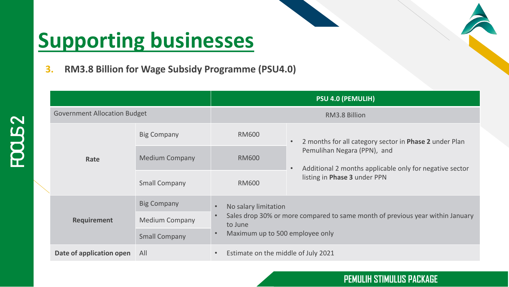**FOCUS 2**

**3. RM3.8 Billion for Wage Subsidy Programme (PSU4.0)**

|                                     |                       | <b>PSU 4.0 (PEMULIH)</b>            |                                                                                                     |  |
|-------------------------------------|-----------------------|-------------------------------------|-----------------------------------------------------------------------------------------------------|--|
| <b>Government Allocation Budget</b> |                       | RM3.8 Billion                       |                                                                                                     |  |
| Rate                                | <b>Big Company</b>    | <b>RM600</b>                        | 2 months for all category sector in Phase 2 under Plan<br>$\bullet$                                 |  |
|                                     | <b>Medium Company</b> | <b>RM600</b>                        | Pemulihan Negara (PPN), and<br>Additional 2 months applicable only for negative sector<br>$\bullet$ |  |
|                                     | <b>Small Company</b>  | <b>RM600</b>                        | listing in Phase 3 under PPN                                                                        |  |
| <b>Requirement</b>                  | <b>Big Company</b>    | No salary limitation                | Sales drop 30% or more compared to same month of previous year within January                       |  |
|                                     | <b>Medium Company</b> | to June                             |                                                                                                     |  |
|                                     | <b>Small Company</b>  | Maximum up to 500 employee only     |                                                                                                     |  |
| Date of application open            | All                   | Estimate on the middle of July 2021 |                                                                                                     |  |

#### **PEMULIH STIMULUS PACKAGE**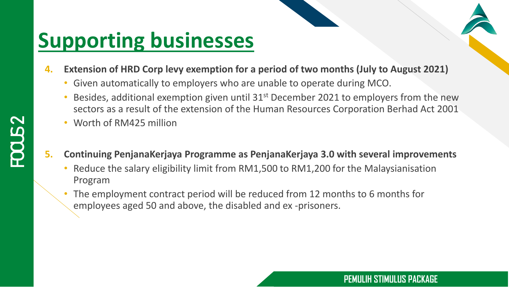- **4. Extension of HRD Corp levy exemption for a period of two months (July to August 2021)**
	- Given automatically to employers who are unable to operate during MCO.
	- Besides, additional exemption given until  $31<sup>st</sup>$  December 2021 to employers from the new sectors as a result of the extension of the Human Resources Corporation Berhad Act 2001
	- Worth of RM425 million

**FOCUS 2**

- **5. Continuing PenjanaKerjaya Programme as PenjanaKerjaya 3.0 with several improvements**
	- Reduce the salary eligibility limit from RM1,500 to RM1,200 for the Malaysianisation Program
	- The employment contract period will be reduced from 12 months to 6 months for employees aged 50 and above, the disabled and ex -prisoners.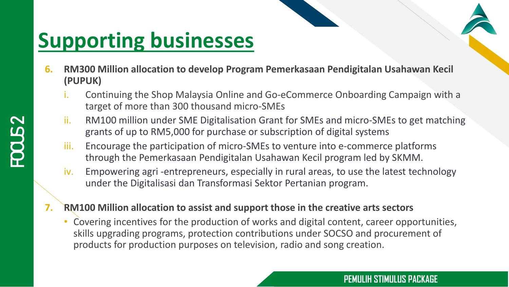- **6. RM300 Million allocation to develop Program Pemerkasaan Pendigitalan Usahawan Kecil (PUPUK)**
	- i. Continuing the Shop Malaysia Online and Go-eCommerce Onboarding Campaign with a target of more than 300 thousand micro-SMEs
	- ii. RM100 million under SME Digitalisation Grant for SMEs and micro-SMEs to get matching grants of up to RM5,000 for purchase or subscription of digital systems
	- iii. Encourage the participation of micro-SMEs to venture into e-commerce platforms through the Pemerkasaan Pendigitalan Usahawan Kecil program led by SKMM.
	- iv. Empowering agri -entrepreneurs, especially in rural areas, to use the latest technology under the Digitalisasi dan Transformasi Sektor Pertanian program.
- **7. RM100 Million allocation to assist and support those in the creative arts sectors**
	- Covering incentives for the production of works and digital content, career opportunities, skills upgrading programs, protection contributions under SOCSO and procurement of products for production purposes on television, radio and song creation.

#### **PEMULIH STIMULUS PACKAGE**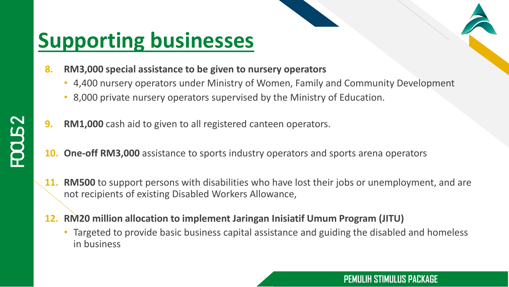- **8. RM3,000 special assistance to be given to nursery operators**
	- 4,400 nursery operators under Ministry of Women, Family and Community Development
	- 8,000 private nursery operators supervised by the Ministry of Education.
- **9. RM1,000** cash aid to given to all registered canteen operators.
- **10. One-off RM3,000** assistance to sports industry operators and sports arena operators
- **11. RM500** to support persons with disabilities who have lost their jobs or unemployment, and are not recipients of existing Disabled Workers Allowance,
- **12. RM20 million allocation to implement Jaringan Inisiatif Umum Program (JITU)**
	- Targeted to provide basic business capital assistance and guiding the disabled and homeless in business

#### **PEMULIH STIMULUS PACKAGE**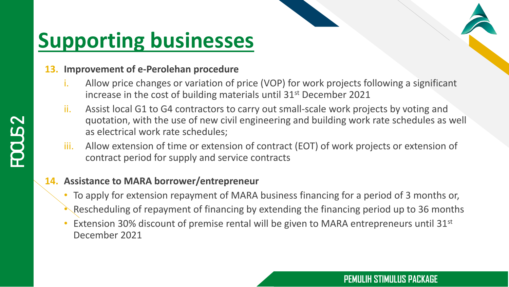#### **13. Improvement of e-Perolehan procedure**

- i. Allow price changes or variation of price (VOP) for work projects following a significant increase in the cost of building materials until 31<sup>st</sup> December 2021
- ii. Assist local G1 to G4 contractors to carry out small-scale work projects by voting and quotation, with the use of new civil engineering and building work rate schedules as well as electrical work rate schedules;
- iii. Allow extension of time or extension of contract (EOT) of work projects or extension of contract period for supply and service contracts

#### **14. Assistance to MARA borrower/entrepreneur**

- To apply for extension repayment of MARA business financing for a period of 3 months or,
- Rescheduling of repayment of financing by extending the financing period up to 36 months
- Extension 30% discount of premise rental will be given to MARA entrepreneurs until 31<sup>st</sup> December 2021

#### **PEMULIH STIMULUS PACKAGE**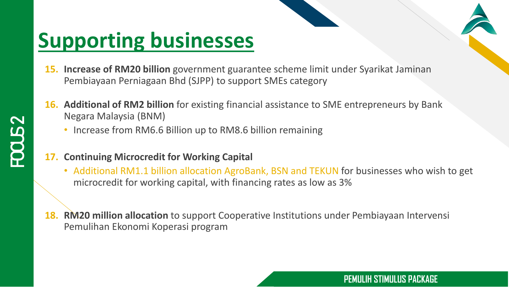- **15. Increase of RM20 billion** government guarantee scheme limit under Syarikat Jaminan Pembiayaan Perniagaan Bhd (SJPP) to support SMEs category
- **16. Additional of RM2 billion** for existing financial assistance to SME entrepreneurs by Bank Negara Malaysia (BNM)
	- Increase from RM6.6 Billion up to RM8.6 billion remaining
- **17. Continuing Microcredit for Working Capital**
	- Additional RM1.1 billion allocation AgroBank, BSN and TEKUN for businesses who wish to get microcredit for working capital, with financing rates as low as 3%

FR

**PEMULIH STIMULUS PACKAGE**

**18. RM20 million allocation** to support Cooperative Institutions under Pembiayaan Intervensi Pemulihan Ekonomi Koperasi program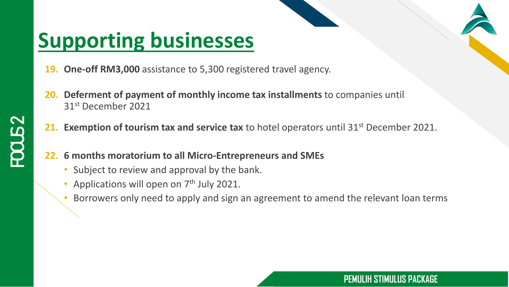- **One-off RM3,000** assistance to 5,300 registered travel agency.
- **20. Deferment of payment of monthly income tax installments** to companies until 31st December 2021
- **21. Exemption of tourism tax and service tax** to hotel operators until 31<sup>st</sup> December 2021.
- **22. 6 months moratorium to all Micro-Entrepreneurs and SMEs**
	- Subject to review and approval by the bank.
	- Applications will open on 7<sup>th</sup> July 2021.
	- Borrowers only need to apply and sign an agreement to amend the relevant loan terms

#### **PEMULIH STIMULUS PACKAGE**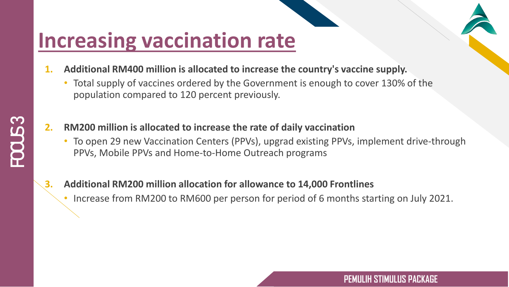# **Increasing vaccination rate**

- **1. Additional RM400 million is allocated to increase the country's vaccine supply.**
	- Total supply of vaccines ordered by the Government is enough to cover 130% of the population compared to 120 percent previously.
- **2. RM200 million is allocated to increase the rate of daily vaccination**
	- To open 29 new Vaccination Centers (PPVs), upgrad existing PPVs, implement drive-through PPVs, Mobile PPVs and Home-to-Home Outreach programs
- **3. Additional RM200 million allocation for allowance to 14,000 Frontlines**
	- Increase from RM200 to RM600 per person for period of 6 months starting on July 2021.